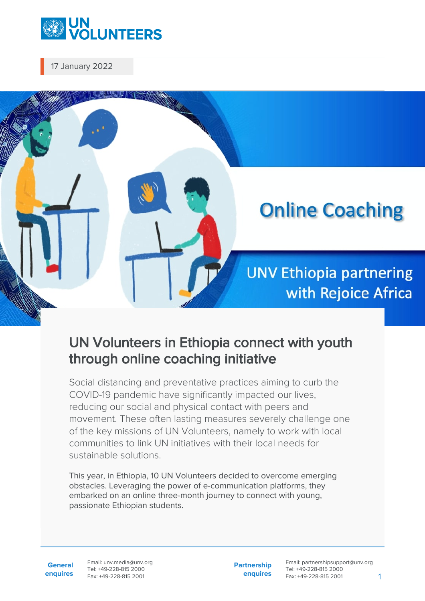

17 January 2022



## UN Volunteers in Ethiopia connect with youth through online coaching initiative

Social distancing and preventative practices aiming to curb the COVID-19 pandemic have significantly impacted our lives, reducing our social and physical contact with peers and movement. These often lasting measures severely challenge one of the key missions of UN Volunteers, namely to work with local communities to link UN initiatives with their local needs for sustainable solutions.

This year, in Ethiopia, 10 UN Volunteers decided to overcome emerging obstacles. Leveraging the power of e-communication platforms, they embarked on an online three-month journey to connect with young, passionate Ethiopian students.

**General enquires** Email: unv.media@unv.org Tel: +49-228-815 2000 Fax: +49-228-815 2001

**Partnership enquires** Email: partnershipsupport@unv.org Tel: +49-228-815 2000 Fax: +49-228-815 2001 1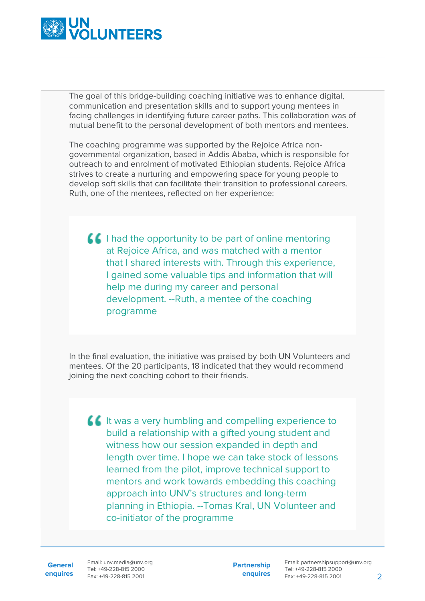

The goal of this bridge-building coaching initiative was to enhance digital, communication and presentation skills and to support young mentees in facing challenges in identifying future career paths. This collaboration was of mutual benefit to the personal development of both mentors and mentees.

The coaching programme was supported by the Rejoice Africa nongovernmental organization, based in Addis Ababa, which is responsible for outreach to and enrolment of motivated Ethiopian students. Rejoice Africa strives to create a nurturing and empowering space for young people to develop soft skills that can facilitate their transition to professional careers. Ruth, one of the mentees, reflected on her experience:

I had the opportunity to be part of online mentoring at Rejoice Africa, and was matched with a mentor that I shared interests with. Through this experience, I gained some valuable tips and information that will help me during my career and personal development. --Ruth, a mentee of the coaching programme

In the final evaluation, the initiative was praised by both UN Volunteers and mentees. Of the 20 participants, 18 indicated that they would recommend joining the next coaching cohort to their friends.

If It was a very humbling and compelling experience to build a relationship with a gifted young student and witness how our session expanded in depth and length over time. I hope we can take stock of lessons learned from the pilot, improve technical support to mentors and work towards embedding this coaching approach into UNV's structures and long-term planning in Ethiopia. --Tomas Kral, UN Volunteer and co-initiator of the programme

**General**

**enquires** Fax: +49-228-815 2001 Email: unv.media@unv.org Tel: +49-228-815 2000

**Partnership enquires** Email: partnershipsupport@unv.org Tel: +49-228-815 2000 Fax: +49-228-815 2001 2